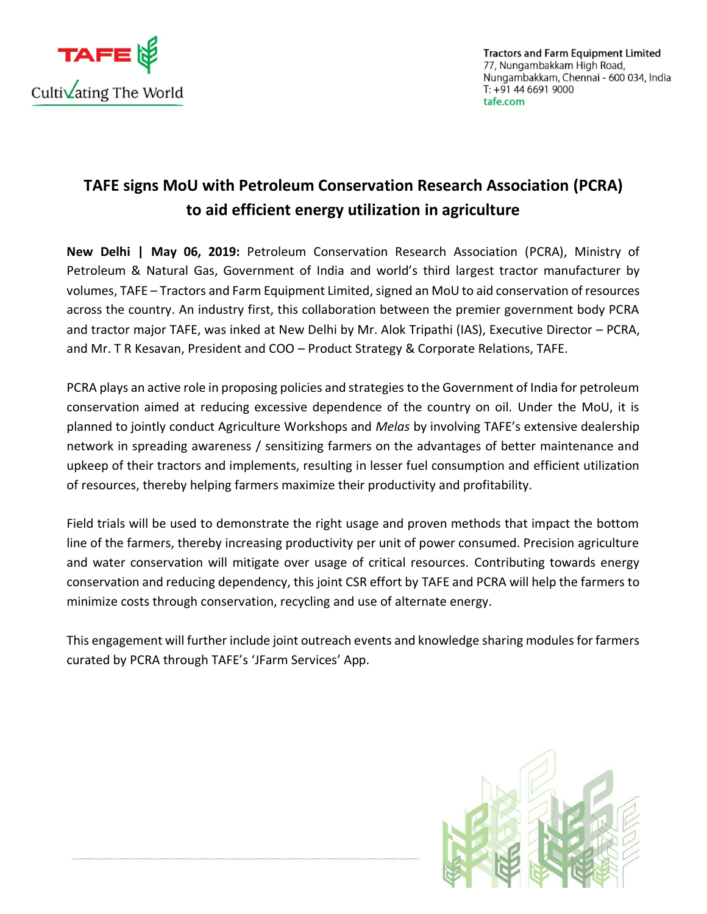

**Tractors and Farm Equipment Limited** 77, Nungambakkam High Road, Nungambakkam, Chennai - 600 034, India  $T: +91466919000$ tafe.com

## **TAFE signs MoU with Petroleum Conservation Research Association (PCRA) to aid efficient energy utilization in agriculture**

**New Delhi | May 06, 2019:** Petroleum Conservation Research Association [\(PCRA\)](http://www.pcra.org/), Ministry of Petroleum & Natural Gas, Government of India and world's third largest tractor manufacturer by volumes, [TAFE](https://www.tafe.com/) – Tractors and Farm Equipment Limited, signed an MoU to aid conservation of resources across the country. An industry first, this collaboration between the premier government body PCRA and tractor major TAFE, was inked at New Delhi by Mr. Alok Tripathi (IAS), Executive Director – PCRA, and Mr. T R Kesavan, President and COO – Product Strategy & Corporate Relations, TAFE.

PCRA plays an active role in proposing policies and strategies to the Government of India for petroleum conservation aimed at reducing excessive dependence of the country on oil. Under the MoU, it is planned to jointly conduct Agriculture Workshops and *Melas* by involving [TAFE](https://www.tafe.com/)'s extensive dealership network in spreading awareness / sensitizing farmers on the advantages of better maintenance and upkeep of their tractors and implements, resulting in lesser fuel consumption and efficient utilization of resources, thereby helping farmers maximize their productivity and profitability.

Field trials will be used to demonstrate the right usage and proven methods that impact the bottom line of the farmers, thereby increasing productivity per unit of power consumed. Precision agriculture and water conservation will mitigate over usage of critical resources. Contributing towards energy conservation and reducing dependency, this joint CSR effort by [TAFE](https://www.tafe.com/) and PCRA will help the farmers to minimize costs through conservation, recycling and use of alternate energy.

This engagement will further include joint outreach events and knowledge sharing modules for farmers curated by PCRA through [TAFE](https://www.tafe.com/)'s '[JFarm Services](https://jfarmservices.in/)' App.